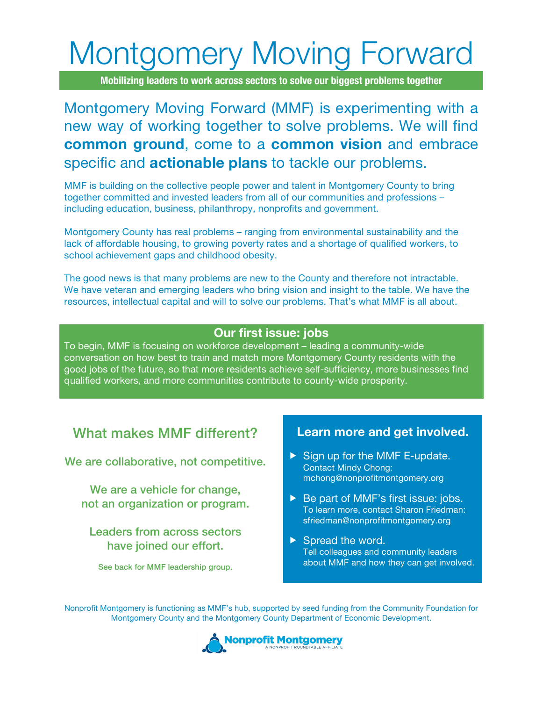# Montgomery Moving Forward

**Mobilizing leaders to work across sectors to solve our biggest problems together**

## Montgomery Moving Forward (MMF) is experimenting with a new way of working together to solve problems. We will find **common ground**, come to a **common vision** and embrace specific and **actionable plans** to tackle our problems.

MMF is building on the collective people power and talent in Montgomery County to bring together committed and invested leaders from all of our communities and professions – including education, business, philanthropy, nonprofits and government.

Montgomery County has real problems – ranging from environmental sustainability and the lack of affordable housing, to growing poverty rates and a shortage of qualified workers, to school achievement gaps and childhood obesity.

The good news is that many problems are new to the County and therefore not intractable. We have veteran and emerging leaders who bring vision and insight to the table. We have the resources, intellectual capital and will to solve our problems. That's what MMF is all about.

#### **Our first issue: jobs**

To begin, MMF is focusing on workforce development – leading a community-wide conversation on how best to train and match more Montgomery County residents with the good jobs of the future, so that more residents achieve self-sufficiency, more businesses find qualified workers, and more communities contribute to county-wide prosperity.

## What makes MMF different?

We are collaborative, not competitive.

We are a vehicle for change, not an organization or program.

### Leaders from across sectors have joined our effort.

See back for MMF leadership group.

#### **Learn more and get involved.**

- $\triangleright$  Sign up for the MMF E-update. Contact Mindy Chong: mchong@nonprofitmontgomery.org
- ▶ Be part of MMF's first issue: jobs. To learn more, contact Sharon Friedman: sfriedman@nonprofitmontgomery.org
- $\triangleright$  Spread the word. Tell colleagues and community leaders about MMF and how they can get involved.

Nonprofit Montgomery is functioning as MMF's hub, supported by seed funding from the Community Foundation for Montgomery County and the Montgomery County Department of Economic Development.